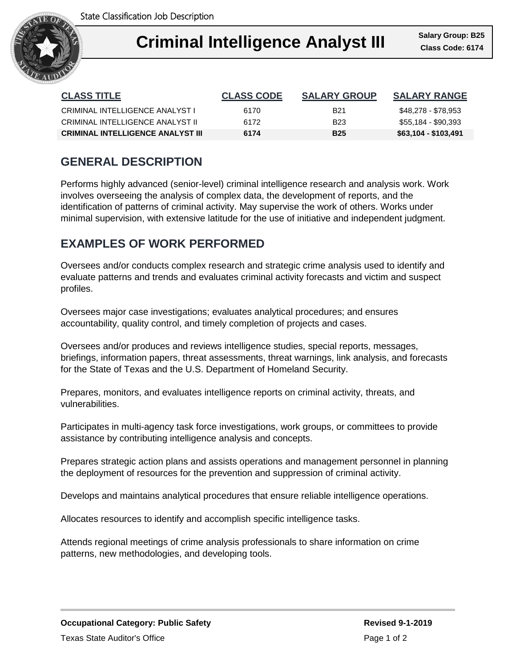

#### **Criminal III** Salary Group Ι **Criminal Intelligence Analyst III Class Code: 6174**

| <b>CLASS TITLE</b>                       | <b>CLASS CODE</b> | <b>SALARY GROUP</b> | <b>SALARY RANGE</b>  |
|------------------------------------------|-------------------|---------------------|----------------------|
| CRIMINAL INTELLIGENCE ANALYST I          | 6170              | <b>B21</b>          | \$48,278 - \$78,953  |
| CRIMINAL INTELLIGENCE ANALYST II         | 6172              | B <sub>23</sub>     | \$55,184 - \$90,393  |
| <b>CRIMINAL INTELLIGENCE ANALYST III</b> | 6174              | <b>B25</b>          | \$63,104 - \$103,491 |

# **GENERAL DESCRIPTION**

Performs highly advanced (senior-level) criminal intelligence research and analysis work. Work involves overseeing the analysis of complex data, the development of reports, and the identification of patterns of criminal activity. May supervise the work of others. Works under minimal supervision, with extensive latitude for the use of initiative and independent judgment.

## **EXAMPLES OF WORK PERFORMED**

Oversees and/or conducts complex research and strategic crime analysis used to identify and evaluate patterns and trends and evaluates criminal activity forecasts and victim and suspect profiles.

Oversees major case investigations; evaluates analytical procedures; and ensures accountability, quality control, and timely completion of projects and cases.

Oversees and/or produces and reviews intelligence studies, special reports, messages, briefings, information papers, threat assessments, threat warnings, link analysis, and forecasts for the State of Texas and the U.S. Department of Homeland Security.

Prepares, monitors, and evaluates intelligence reports on criminal activity, threats, and vulnerabilities.

Participates in multi-agency task force investigations, work groups, or committees to provide assistance by contributing intelligence analysis and concepts.

Prepares strategic action plans and assists operations and management personnel in planning the deployment of resources for the prevention and suppression of criminal activity.

Develops and maintains analytical procedures that ensure reliable intelligence operations.

Allocates resources to identify and accomplish specific intelligence tasks.

Attends regional meetings of crime analysis professionals to share information on crime patterns, new methodologies, and developing tools.